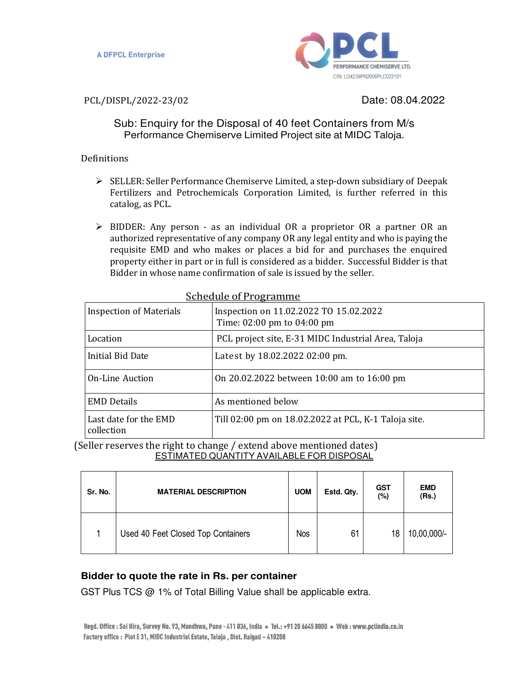

PCL/DISPL/2022-23/02 Date: 08.04.2022

Sub: Enquiry for the Disposal of 40 feet Containers from M/s Performance Chemiserve Limited Project site at MIDC Taloja.

# Definitions

- $\triangleright$  SELLER: Seller Performance Chemiserve Limited, a step-down subsidiary of Deepak Fertilizers and Petrochemicals Corporation Limited, is further referred in this catalog, as PCL.
- $\triangleright$  BIDDER: Any person as an individual OR a proprietor OR a partner OR an authorized representative of any company OR any legal entity and who is paying the requisite EMD and who makes or places a bid for and purchases the enquired property either in part or in full is considered as a bidder. Successful Bidder is that Bidder in whose name confirmation of sale is issued by the seller.

| <u>JUILUUIL ULI TUSTAIIIIIL</u>     |                                                                      |  |  |  |
|-------------------------------------|----------------------------------------------------------------------|--|--|--|
| <b>Inspection of Materials</b>      | Inspection on 11.02.2022 TO 15.02.2022<br>Time: 02:00 pm to 04:00 pm |  |  |  |
| Location                            | PCL project site, E-31 MIDC Industrial Area, Taloja                  |  |  |  |
| Initial Bid Date                    | Latest by 18.02.2022 02:00 pm.                                       |  |  |  |
| <b>On-Line Auction</b>              | On 20.02.2022 between 10:00 am to 16:00 pm                           |  |  |  |
| <b>EMD Details</b>                  | As mentioned below                                                   |  |  |  |
| Last date for the EMD<br>collection | Till 02:00 pm on 18.02.2022 at PCL, K-1 Taloja site.                 |  |  |  |

# Schedule of Programme

(Seller reserves the right to change / extend above mentioned dates) ESTIMATED QUANTITY AVAILABLE FOR DISPOSAL

| Sr. No. | <b>MATERIAL DESCRIPTION</b>        | <b>UOM</b> | Estd. Qty. | <b>GST</b><br>$(\%)$ | <b>EMD</b><br>(Rs.) |
|---------|------------------------------------|------------|------------|----------------------|---------------------|
| л       | Used 40 Feet Closed Top Containers | <b>Nos</b> | 61         | 18                   | 10,00,000/-         |

# **Bidder to quote the rate in Rs. per container**

GST Plus TCS @ 1% of Total Billing Value shall be applicable extra.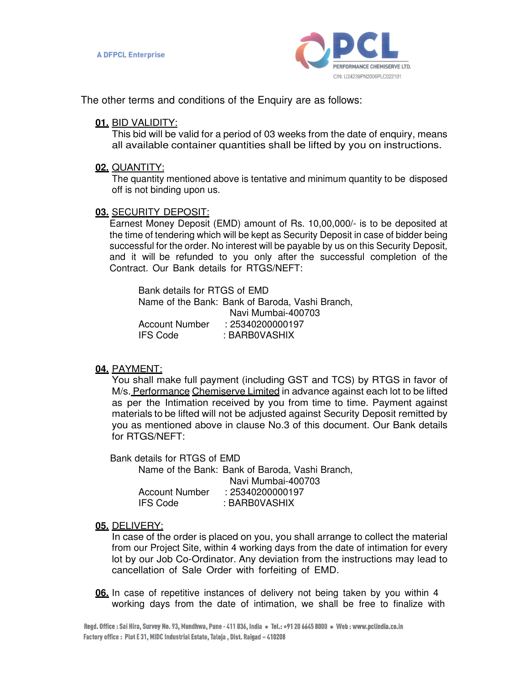

The other terms and conditions of the Enquiry are as follows:

## **01.** BID VALIDITY:

This bid will be valid for a period of 03 weeks from the date of enquiry, means all available container quantities shall be lifted by you on instructions.

#### **02.** QUANTITY:

The quantity mentioned above is tentative and minimum quantity to be disposed off is not binding upon us.

## **03.** SECURITY DEPOSIT:

Earnest Money Deposit (EMD) amount of Rs. 10,00,000/- is to be deposited at the time of tendering which will be kept as Security Deposit in case of bidder being successful for the order. No interest will be payable by us on this Security Deposit, and it will be refunded to you only after the successful completion of the Contract. Our Bank details for RTGS/NEFT:

Bank details for RTGS of EMD Name of the Bank: Bank of Baroda, Vashi Branch, Navi Mumbai-400703 Account Number : 25340200000197 IFS Code : BARB0VASHIX

## **04.** PAYMENT:

You shall make full payment (including GST and TCS) by RTGS in favor of M/s. Performance Chemiserve Limited in advance against each lot to be lifted as per the Intimation received by you from time to time. Payment against materials to be lifted will not be adjusted against Security Deposit remitted by you as mentioned above in clause No.3 of this document. Our Bank details for RTGS/NEFT:

Bank details for RTGS of EMD

Name of the Bank: Bank of Baroda, Vashi Branch, Navi Mumbai-400703 Account Number : 25340200000197 IFS Code : BARB0VASHIX

## **05.** DELIVERY:

In case of the order is placed on you, you shall arrange to collect the material from our Project Site, within 4 working days from the date of intimation for every lot by our Job Co-Ordinator. Any deviation from the instructions may lead to cancellation of Sale Order with forfeiting of EMD.

**06.** In case of repetitive instances of delivery not being taken by you within 4 working days from the date of intimation, we shall be free to finalize with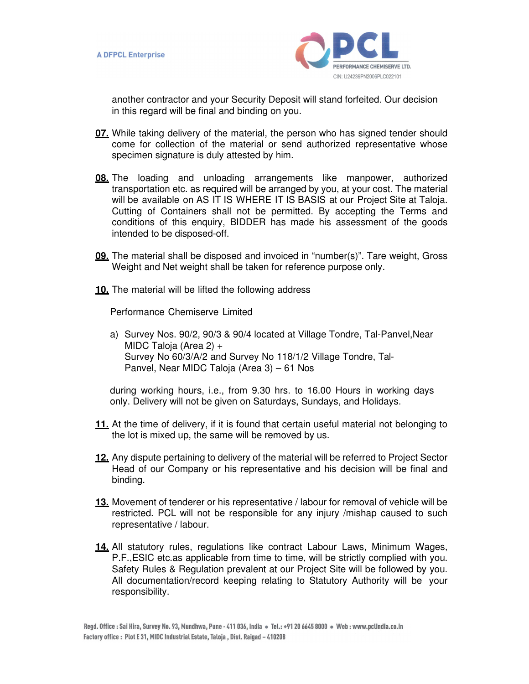

another contractor and your Security Deposit will stand forfeited. Our decision in this regard will be final and binding on you.

- **07.** While taking delivery of the material, the person who has signed tender should come for collection of the material or send authorized representative whose specimen signature is duly attested by him.
- **08.** The loading and unloading arrangements like manpower, authorized transportation etc. as required will be arranged by you, at your cost. The material will be available on AS IT IS WHERE IT IS BASIS at our Project Site at Taloja. Cutting of Containers shall not be permitted. By accepting the Terms and conditions of this enquiry, BIDDER has made his assessment of the goods intended to be disposed-off.
- **09.** The material shall be disposed and invoiced in "number(s)". Tare weight, Gross Weight and Net weight shall be taken for reference purpose only.
- **10.** The material will be lifted the following address

Performance Chemiserve Limited

a) Survey Nos. 90/2, 90/3 & 90/4 located at Village Tondre, Tal-Panvel,Near MIDC Taloja (Area 2) + Survey No 60/3/A/2 and Survey No 118/1/2 Village Tondre, Tal-Panvel, Near MIDC Taloja (Area 3) – 61 Nos

during working hours, i.e., from 9.30 hrs. to 16.00 Hours in working days only. Delivery will not be given on Saturdays, Sundays, and Holidays.

- **11.** At the time of delivery, if it is found that certain useful material not belonging to the lot is mixed up, the same will be removed by us.
- **12.** Any dispute pertaining to delivery of the material will be referred to Project Sector Head of our Company or his representative and his decision will be final and binding.
- **13.** Movement of tenderer or his representative / labour for removal of vehicle will be restricted. PCL will not be responsible for any injury /mishap caused to such representative / labour.
- **14.** All statutory rules, regulations like contract Labour Laws, Minimum Wages, P.F.,ESIC etc.as applicable from time to time, will be strictly complied with you. Safety Rules & Regulation prevalent at our Project Site will be followed by you. All documentation/record keeping relating to Statutory Authority will be your responsibility.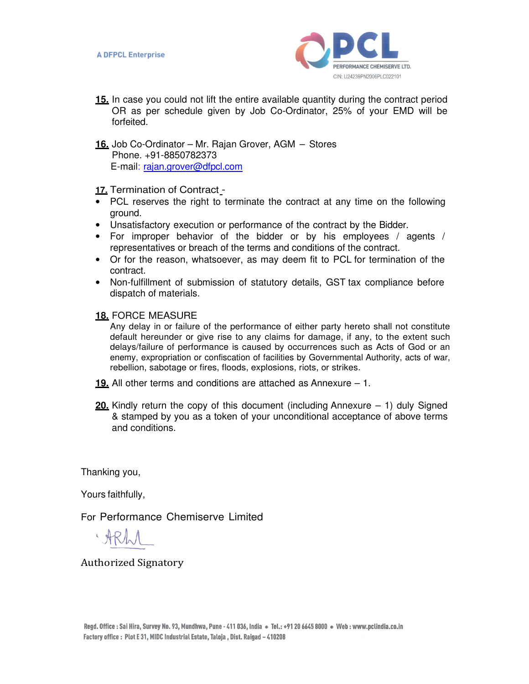

- **15.** In case you could not lift the entire available quantity during the contract period OR as per schedule given by Job Co-Ordinator, 25% of your EMD will be forfeited.
- **16.** Job Co-Ordinator Mr. Rajan Grover, AGM Stores Phone. +91-8850782373 E-mail: rajan.grover@dfpcl.com

**17.** Termination of Contract -

- PCL reserves the right to terminate the contract at any time on the following ground.
- Unsatisfactory execution or performance of the contract by the Bidder.
- For improper behavior of the bidder or by his employees / agents / representatives or breach of the terms and conditions of the contract.
- Or for the reason, whatsoever, as may deem fit to PCL for termination of the contract.
- Non-fulfillment of submission of statutory details, GST tax compliance before dispatch of materials.

**18.** FORCE MEASURE

Any delay in or failure of the performance of either party hereto shall not constitute default hereunder or give rise to any claims for damage, if any, to the extent such delays/failure of performance is caused by occurrences such as Acts of God or an enemy, expropriation or confiscation of facilities by Governmental Authority, acts of war, rebellion, sabotage or fires, floods, explosions, riots, or strikes.

- **19.** All other terms and conditions are attached as Annexure 1.
- **20.** Kindly return the copy of this document (including Annexure 1) duly Signed & stamped by you as a token of your unconditional acceptance of above terms and conditions.

Thanking you,

Yours faithfully,

For Performance Chemiserve Limited

Authorized Signatory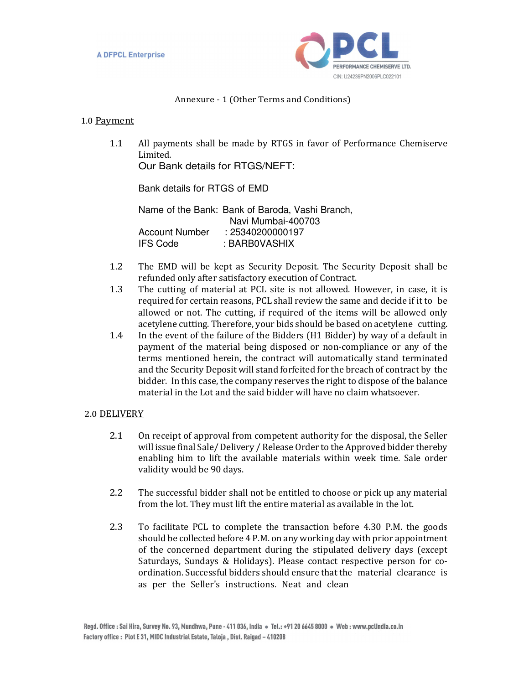

#### Annexure - 1 (Other Terms and Conditions)

#### 1.0 Payment

1.1 All payments shall be made by RTGS in favor of Performance Chemiserve Limited.

Our Bank details for RTGS/NEFT:

Bank details for RTGS of EMD

Name of the Bank: Bank of Baroda, Vashi Branch, Navi Mumbai-400703 Account Number : 25340200000197 IFS Code : BARB0VASHIX

- 1.2 The EMD will be kept as Security Deposit. The Security Deposit shall be refunded only after satisfactory execution of Contract.
- 1.3 The cutting of material at PCL site is not allowed. However, in case, it is required for certain reasons, PCL shall review the same and decide if it to be allowed or not. The cutting, if required of the items will be allowed only acetylene cutting. Therefore, your bids should be based on acetylene cutting.
- 1.4 In the event of the failure of the Bidders (H1 Bidder) by way of a default in payment of the material being disposed or non-compliance or any of the terms mentioned herein, the contract will automatically stand terminated and the Security Deposit will stand forfeited for the breach of contract by the bidder. In this case, the company reserves the right to dispose of the balance material in the Lot and the said bidder will have no claim whatsoever.

#### 2.0 DELIVERY

- 2.1 On receipt of approval from competent authority for the disposal, the Seller will issue final Sale/ Delivery / Release Order to the Approved bidder thereby enabling him to lift the available materials within week time. Sale order validity would be 90 days.
- 2.2 The successful bidder shall not be entitled to choose or pick up any material from the lot. They must lift the entire material as available in the lot.
- 2.3 To facilitate PCL to complete the transaction before 4.30 P.M. the goods should be collected before 4 P.M. on any working day with prior appointment of the concerned department during the stipulated delivery days (except Saturdays, Sundays & Holidays). Please contact respective person for coordination. Successful bidders should ensure that the material clearance is as per the Seller's instructions. Neat and clean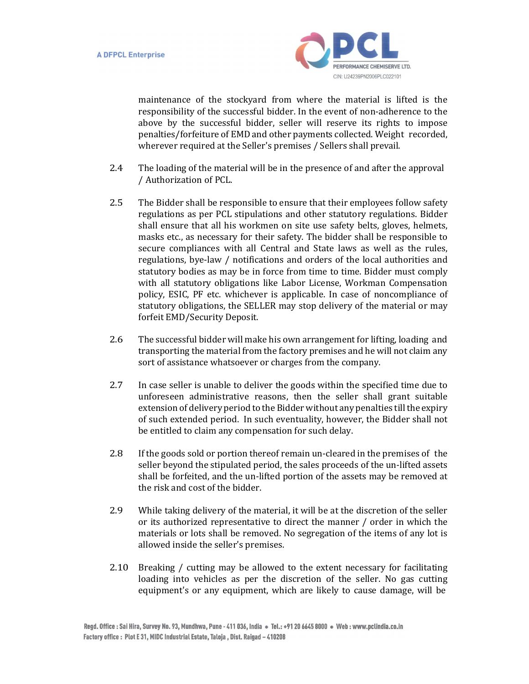

maintenance of the stockyard from where the material is lifted is the responsibility of the successful bidder. In the event of non-adherence to the above by the successful bidder, seller will reserve its rights to impose penalties/forfeiture of EMD and other payments collected. Weight recorded, wherever required at the Seller's premises / Sellers shall prevail.

- 2.4 The loading of the material will be in the presence of and after the approval / Authorization of PCL.
- 2.5 The Bidder shall be responsible to ensure that their employees follow safety regulations as per PCL stipulations and other statutory regulations. Bidder shall ensure that all his workmen on site use safety belts, gloves, helmets, masks etc., as necessary for their safety. The bidder shall be responsible to secure compliances with all Central and State laws as well as the rules, regulations, bye-law / notifications and orders of the local authorities and statutory bodies as may be in force from time to time. Bidder must comply with all statutory obligations like Labor License, Workman Compensation policy, ESIC, PF etc. whichever is applicable. In case of noncompliance of statutory obligations, the SELLER may stop delivery of the material or may forfeit EMD/Security Deposit.
- 2.6 The successful bidder will make his own arrangement for lifting, loading and transporting the material from the factory premises and he will not claim any sort of assistance whatsoever or charges from the company.
- 2.7 In case seller is unable to deliver the goods within the specified time due to unforeseen administrative reasons, then the seller shall grant suitable extension of delivery period to the Bidder without any penalties till the expiry of such extended period. In such eventuality, however, the Bidder shall not be entitled to claim any compensation for such delay.
- 2.8 If the goods sold or portion thereof remain un-cleared in the premises of the seller beyond the stipulated period, the sales proceeds of the un-lifted assets shall be forfeited, and the un-lifted portion of the assets may be removed at the risk and cost of the bidder.
- 2.9 While taking delivery of the material, it will be at the discretion of the seller or its authorized representative to direct the manner / order in which the materials or lots shall be removed. No segregation of the items of any lot is allowed inside the seller's premises.
- 2.10 Breaking / cutting may be allowed to the extent necessary for facilitating loading into vehicles as per the discretion of the seller. No gas cutting equipment's or any equipment, which are likely to cause damage, will be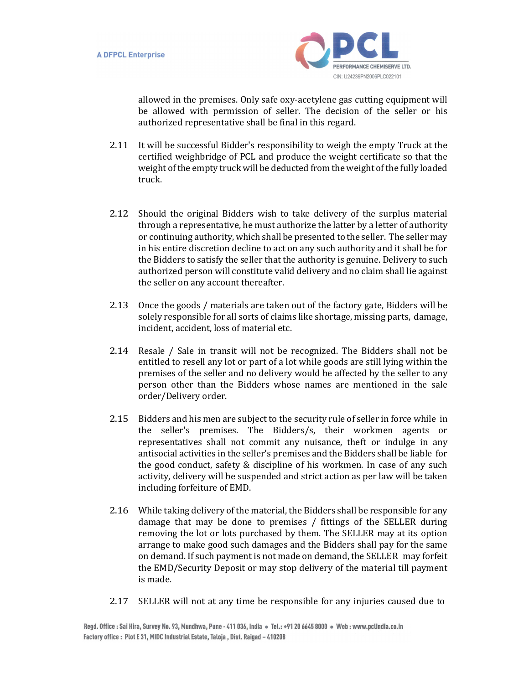

allowed in the premises. Only safe oxy-acetylene gas cutting equipment will be allowed with permission of seller. The decision of the seller or his authorized representative shall be final in this regard.

- 2.11 It will be successful Bidder's responsibility to weigh the empty Truck at the certified weighbridge of PCL and produce the weight certificate so that the weight of the empty truck will be deducted from the weight of the fully loaded truck.
- 2.12 Should the original Bidders wish to take delivery of the surplus material through a representative, he must authorize the latter by a letter of authority or continuing authority, which shall be presented to the seller. The seller may in his entire discretion decline to act on any such authority and it shall be for the Bidders to satisfy the seller that the authority is genuine. Delivery to such authorized person will constitute valid delivery and no claim shall lie against the seller on any account thereafter.
- 2.13 Once the goods / materials are taken out of the factory gate, Bidders will be solely responsible for all sorts of claims like shortage, missing parts, damage, incident, accident, loss of material etc.
- 2.14 Resale / Sale in transit will not be recognized. The Bidders shall not be entitled to resell any lot or part of a lot while goods are still lying within the premises of the seller and no delivery would be affected by the seller to any person other than the Bidders whose names are mentioned in the sale order/Delivery order.
- 2.15 Bidders and his men are subject to the security rule of seller in force while in the seller's premises. The Bidders/s, their workmen agents or representatives shall not commit any nuisance, theft or indulge in any antisocial activities in the seller's premises and the Bidders shall be liable for the good conduct, safety & discipline of his workmen. In case of any such activity, delivery will be suspended and strict action as per law will be taken including forfeiture of EMD.
- 2.16 While taking delivery of the material, the Bidders shall be responsible for any damage that may be done to premises / fittings of the SELLER during removing the lot or lots purchased by them. The SELLER may at its option arrange to make good such damages and the Bidders shall pay for the same on demand. If such payment is not made on demand, the SELLER may forfeit the EMD/Security Deposit or may stop delivery of the material till payment is made.
- 2.17 SELLER will not at any time be responsible for any injuries caused due to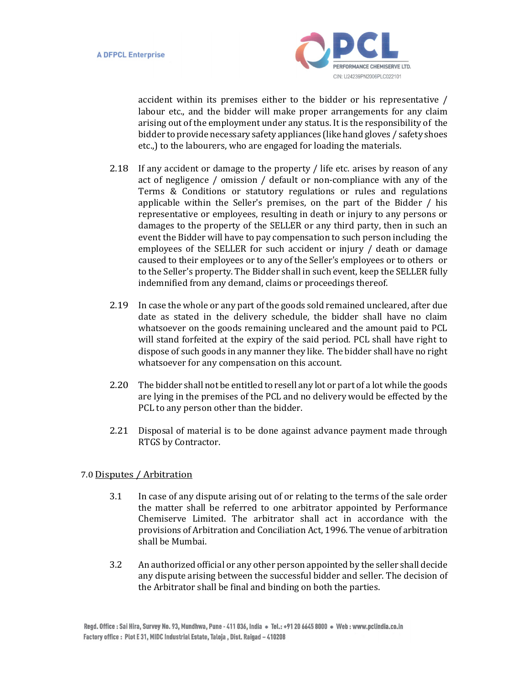

accident within its premises either to the bidder or his representative / labour etc., and the bidder will make proper arrangements for any claim arising out of the employment under any status. It is the responsibility of the bidder to provide necessary safety appliances (like hand gloves / safety shoes etc.,) to the labourers, who are engaged for loading the materials.

- 2.18 If any accident or damage to the property / life etc. arises by reason of any act of negligence / omission / default or non-compliance with any of the Terms & Conditions or statutory regulations or rules and regulations applicable within the Seller's premises, on the part of the Bidder / his representative or employees, resulting in death or injury to any persons or damages to the property of the SELLER or any third party, then in such an event the Bidder will have to pay compensation to such person including the employees of the SELLER for such accident or injury / death or damage caused to their employees or to any of the Seller's employees or to others or to the Seller's property. The Bidder shall in such event, keep the SELLER fully indemnified from any demand, claims or proceedings thereof.
- 2.19 In case the whole or any part of the goods sold remained uncleared, after due date as stated in the delivery schedule, the bidder shall have no claim whatsoever on the goods remaining uncleared and the amount paid to PCL will stand forfeited at the expiry of the said period. PCL shall have right to dispose of such goods in any manner they like. The bidder shall have no right whatsoever for any compensation on this account.
- 2.20 The bidder shall not be entitled to resell any lot or part of a lot while the goods are lying in the premises of the PCL and no delivery would be effected by the PCL to any person other than the bidder.
- 2.21 Disposal of material is to be done against advance payment made through RTGS by Contractor.

# 7.0 Disputes / Arbitration

- 3.1 In case of any dispute arising out of or relating to the terms of the sale order the matter shall be referred to one arbitrator appointed by Performance Chemiserve Limited. The arbitrator shall act in accordance with the provisions of Arbitration and Conciliation Act, 1996. The venue of arbitration shall be Mumbai.
- 3.2 An authorized official or any other person appointed by the seller shall decide any dispute arising between the successful bidder and seller. The decision of the Arbitrator shall be final and binding on both the parties.